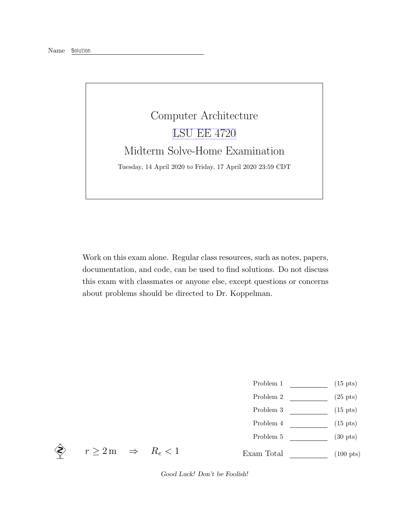## Computer Architecture [LSU EE 4720](https://www.ece.lsu.edu/ee4720/) Midterm Solve-Home Examination Tuesday, 14 April 2020 to Friday, 17 April 2020 23:59 CDT

Work on this exam alone. Regular class resources, such as notes, papers, documentation, and code, can be used to find solutions. Do not discuss this exam with classmates or anyone else, except questions or concerns about problems should be directed to Dr. Koppelman.

- Problem 1  $\qquad \qquad$  (15 pts)
- Problem 2 (25 pts)
- $\begin{tabular}{cc} Problem 3 \end{tabular} \begin{tabular}{c} \hspace{2em} \textbf{(15 pts)} \end{tabular}$
- Problem 4 (15 pts)
- Problem 5  $\qquad \qquad$  (30 pts)
- Exam Total (100 pts)

 $\Leftrightarrow$   $r \geq 2 \,\mathrm{m}$   $\Rightarrow$   $R_e < 1$ 

Good Luck! Don't be Foolish!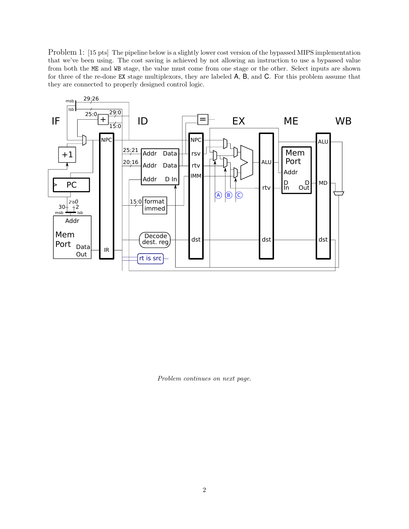Problem 1: [15 pts] The pipeline below is a slightly lower cost version of the bypassed MIPS implementation that we've been using. The cost saving is achieved by not allowing an instruction to use a bypassed value from both the ME and WB stage, the value must come from one stage or the other. Select inputs are shown for three of the re-done EX stage multiplexors, they are labeled A, B, and C. For this problem assume that they are connected to properly designed control logic.



Problem continues on next page.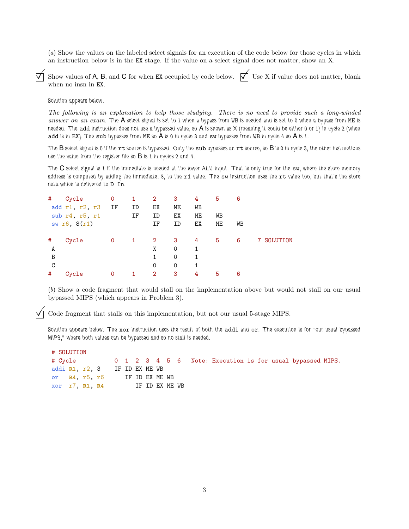(a) Show the values on the labeled select signals for an execution of the code below for those cycles in which an instruction below is in the EX stage. If the value on a select signal does not matter, show an X.

Show values of A, B, and C for when EX occupied by code below.  $\forall$  Use X if value does not matter, blank when no insn in EX.

Solution appears below.

The following is an explanation to help those studying. There is no need to provide such a long-winded answer on an exam. The A select signal is set to 1 when a bypass from WB is needed and is set to 0 when a bypass from ME is needed. The add instruction does not use a bypassed value, so A is shown as X (meaning it could be either 0 or 1) in cycle 2 (when add is in EX). The sub bypasses from ME so A is 0 in cycle 3 and sw bypasses from WB in cycle 4 so A is 1.

The  $B$  select signal is 0 if the  $rt$  source is bypassed. Only the  $sub$  bypasses an  $rt$  source, so  $B$  is 0 in cycle 3, the other instructions use the value from the register file so  $B$  is 1 in cycles 2 and 4.

The C select signal is 1 if the immediate is needed at the lower ALU input. That is only true for the sw, where the store memory address is computed by adding the immediate, 8, to the r1 value. The sw instruction uses the rt value too, but that's the store data which is delivered to D In.

| #                             | Cycle<br>add r1, r2, r3 IF<br>sub r4, r5, r1<br>sw r6, 8(r1) | $\mathbf 0$ | 1<br>ID<br>IF | $\overline{2}$<br>ЕX<br>ID<br>ΙF         | 3<br>ME<br>ЕX<br>ID     | 4<br>WB<br>ME<br>EX | 5<br>WB<br>ME | 6<br>WB |          |
|-------------------------------|--------------------------------------------------------------|-------------|---------------|------------------------------------------|-------------------------|---------------------|---------------|---------|----------|
| #<br>A<br>$\overline{B}$<br>C | Cycle                                                        | 0           | 1             | $\overline{2}$<br>Χ<br>$\mathbf{1}$<br>0 | -3<br>0<br>$\circ$<br>0 | 4<br>1<br>1<br>1    | 5             | 6       | SOLUTION |
| #                             | Cycle                                                        | 0           |               | $\overline{2}$                           | 3                       | 4                   | 5             | 6       |          |

(b) Show a code fragment that would stall on the implementation above but would not stall on our usual bypassed MIPS (which appears in Problem 3).

 $\triangledown$  Code fragment that stalls on this implementation, but not our usual 5-stage MIPS.

Solution appears below. The xor instruction uses the result of both the addi and or. The execution is for "our usual bypassed MIPS," where both values can be bypassed and so no stall is needed.

| # SOLUTION                    |  |  |  |  |                |                                                                   |  |  |  |
|-------------------------------|--|--|--|--|----------------|-------------------------------------------------------------------|--|--|--|
|                               |  |  |  |  |                | # Cycle 0 1 2 3 4 5 6 Note: Execution is for usual bypassed MIPS. |  |  |  |
| addi R1, r2, 3 IF ID EX ME WB |  |  |  |  |                |                                                                   |  |  |  |
| or R4, r5, r6 IF ID EX ME WB  |  |  |  |  |                |                                                                   |  |  |  |
| xor r7, R1, R4                |  |  |  |  | IF ID EX ME WB |                                                                   |  |  |  |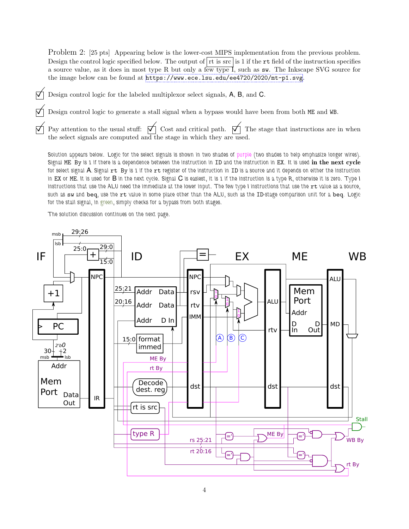Problem 2: [25 pts] Appearing below is the lower-cost MIPS implementation from the previous problem. Design the control logic specified below. The output of  $|\mathbf{r}|$  is 1 if the  $\mathbf{r}$  field of the instruction specifies a source value, as it does in most type R but only a few type I, such as sw. The Inkscape SVG source for the image below can be found at <https://www.ece.lsu.edu/ee4720/2020/mt-p1.svg>.

- $\nabla$  Design control logic for the labeled multiplexor select signals, A, B, and C.
	- Design control logic to generate a stall signal when a bypass would have been from both ME and WB.
- Pay attention to the usual stuff:  $\forall$  Cost and critical path.  $\forall$  The stage that instructions are in when the select signals are computed and the stage in which they are used.

Solution appears below. Logic for the select signals is shown in two shades of purple (two shades to help emphasize longer wires). Signal ME By is 1 if there is a dependence between the instruction in ID and the instruction in EX. It is used in the next cycle for select signal  $A$ . Signal  $rt$  By is 1 if the  $rt$  register of the instruction in ID is a source and it depends on either the instruction in EX or ME. It is used for B in the next cycle. Signal C is easiest, it is 1 if the instruction is a type R, otherwise it is zero. Type I instructions that use the ALU need the immediate at the lower input. The few type I instructions that use the rt value as a source, such as sw and beq, use the rt value in some place other than the ALU, such as the ID-stage comparison unit for a beq. Logic for the stall signal, in green, simply checks for a bypass from both stages.

The solution discussion continues on the next page.

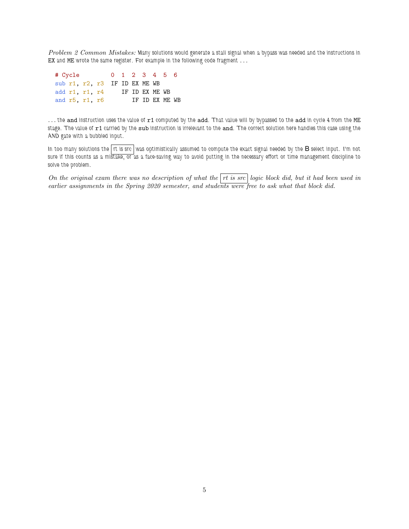Problem 2 Common Mistakes: Many solutions would generate a stall signal when a bypass was needed and the instructions in EX and ME wrote the same register. For example in the following code fragment . . .

| # Cycle |                               |  | 0 1 2 3 4 5 6  |                 |  |  |
|---------|-------------------------------|--|----------------|-----------------|--|--|
|         | sub r1, r2, r3 IF ID EX ME WB |  |                |                 |  |  |
|         | add $r1$ , $r1$ , $r4$        |  | IF ID EX ME WB |                 |  |  |
|         | and $r5$ , $r1$ , $r6$        |  |                | TF TD FX MF. WB |  |  |

... the and instruction uses the value of r1 computed by the add. That value will by bypassed to the add in cycle 4 from the ME stage. The value of r1 carried by the sub instruction is irrelevant to the and. The correct solution here handles this case using the AND gate with a bubbled input.

In too many solutions the rt is src was optimistically assumed to compute the exact signal needed by the B select input. I'm not sure if this counts as a mistake, or as a face-saving way to avoid putting in the necessary effort or time management discipline to solve the problem.

On the original exam there was no description of what the  $rt$  is src logic block did, but it had been used in earlier assignments in the Spring 2020 semester, and students were free to ask what that block did.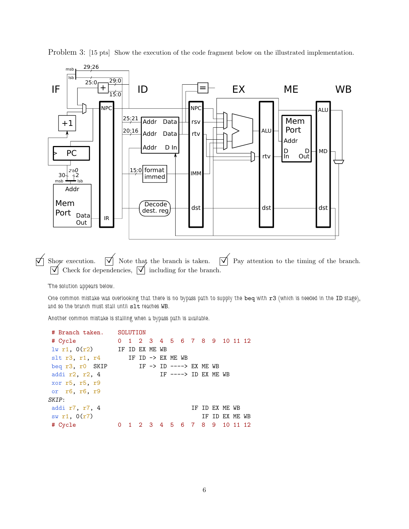

Problem 3: [15 pts] Show the execution of the code fragment below on the illustrated implementation.

 $\Box$  Show execution.  $\Box$  Note that the branch is taken.  $\Box$  Pay attention to the timing of the branch.  $\Box$  Check for dependencies,  $\Box$  including for the branch.

The solution appears below.

One common mistake was overlooking that there is no bypass path to supply the beq with r3 (which is needed in the ID stage), and so the branch must stall until slt reaches WB.

Another common mistake is stalling when a bypass path is available.

```
# Branch taken. SOLUTION
# Cycle 0 1 2 3 4 5 6 7 8 9 10 11 12
lw r1, O(r2) IF ID EX ME WB
slt r3, r1, r4 IF ID \rightarrow EX ME WB
beq r3, r0 SKIP IF -> ID ----> EX ME WB
addi r2, r2, 4 IF ----> ID EX ME WB
xor r5, r5, r9
or r6, r6, r9
SKIP:
addi r7, r7, 4 IF ID EX ME WB
sw r1, 0(r7) IF ID EX ME WB
# Cycle 0 1 2 3 4 5 6 7 8 9 10 11 12
```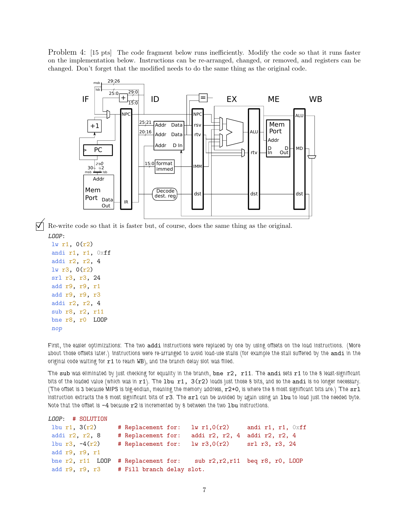Problem 4: [15 pts] The code fragment below runs inefficiently. Modify the code so that it runs faster on the implementation below. Instructions can be re-arranged, changed, or removed, and registers can be changed. Don't forget that the modified needs to do the same thing as the original code.



 Re-write code so that it is faster but, of course, does the same thing as the original. LOOP:

```
lw r1, 0(r2)
andi r1, r1, Oxff
addi r2, r2, 4
lw r3, 0(r2)
srl r3, r3, 24
add r9, r9, r1
add r9, r9, r3
addi r2, r2, 4
sub r8, r2, r11
bne r8, r0 LOOP
nop
```
First, the easier optimizations: The two addi instructions were replaced by one by using offsets on the load instructions. (More about those offsets later.) Instructions were re-arranged to avoid load-use stalls (for example the stall suffered by the andi in the original code waiting for  $r1$  to reach WB), and the branch delay slot was filled.

The sub was eliminated by just checking for equality in the branch, bne  $r2$ ,  $r11$ . The andi sets  $r1$  to the 8 least-significant bits of the loaded value (which was in  $r1$ ). The 1bu  $r1$ ,  $3(r2)$  loads just those 8 bits, and so the andi is no longer necessary. (The offset is 3 because MIPS is big-endian, meaning the memory address, r2+0, is where the 8 most significant bits are.) The srl instruction extracts the 8 most significant bits of  $r3$ . The  $sr1$  can be avoided by again using an 1bu to load just the needed byte. Note that the offset is  $-4$  because  $r2$  is incremented by 8 between the two lbu instructions.

| LOOP: # SOLUTION                         |                    |                |                                      |
|------------------------------------------|--------------------|----------------|--------------------------------------|
| $1bu$ r1, $3(r2)$                        | # Replacement for: | lw $r1,0(r2)$  | andi $r1$ , $r1$ , $0xff$            |
| addi r2, r2, 8                           | # Replacement for: | addi r2, r2, 4 | addi r2, r2, 4                       |
| 1bu $r3$ , $-4(r2)$                      | # Replacement for: | 1w r3,0(r2)    | srl r3, r3, 24                       |
| add r9, r9, r1                           |                    |                |                                      |
| bne $r2$ , $r11$ LOOP                    | # Replacement for: |                | sub $r2, r2, r11$ beg $r8, r0, L00P$ |
| add r9, r9, r3 # Fill branch delay slot. |                    |                |                                      |
|                                          |                    |                |                                      |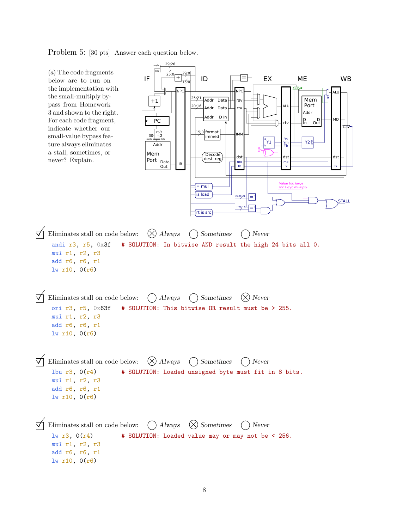Problem 5: [30 pts] Answer each question below.

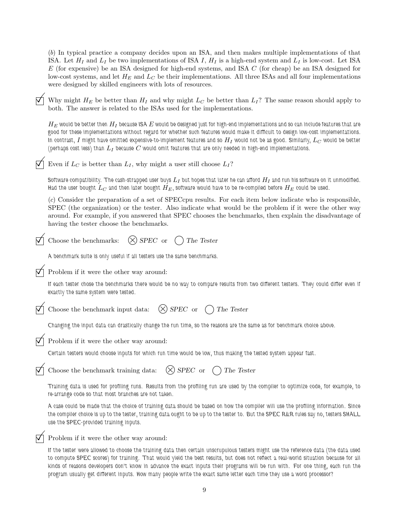(b) In typical practice a company decides upon an ISA, and then makes multiple implementations of that ISA. Let  $H_I$  and  $L_I$  be two implementations of ISA I,  $H_I$  is a high-end system and  $L_I$  is low-cost. Let ISA  $E$  (for expensive) be an ISA designed for high-end systems, and ISA  $C$  (for cheap) be an ISA designed for low-cost systems, and let  $H_E$  and  $L_C$  be their implementations. All three ISAs and all four implementations were designed by skilled engineers with lots of resources.

Why might  $H_E$  be better than  $H_I$  and why might  $L_C$  be better than  $L_I$ ? The same reason should apply to both. The answer is related to the ISAs used for the implementations.

 $H_E$  would be better then  $H_I$  because ISA  $E$  would be designed just for high-end implementations and so can include features that are good for these implementations without regard for whether such features would make it difficult to design low-cost implementations. In contrast, I might have omitted expensive-to-implement features and so  $H_I$  would not be as good. Similarly,  $L_C$  would be better (perhaps cost less) than  $L_I$  because  $C$  would omit features that are only needed in high-end implementations.

Even if  $L_C$  is better than  $L_I$ , why might a user still choose  $L_I$ ?

Software compatibility. The cash-strapped user buys  $L_I$  but hopes that later he can afford  $H_I$  and run his software on it unmodified. Had the user bought  $L_C$  and then later bought  $H_E$ , software would have to be re-compiled before  $H_E$  could be used.

(c) Consider the preparation of a set of SPECcpu results. For each item below indicate who is responsible, SPEC (the organization) or the tester. Also indicate what would be the problem if it were the other way around. For example, if you answered that SPEC chooses the benchmarks, then explain the disadvantage of having the tester choose the benchmarks.

Choose the benchmarks:  $(\times)$  SPEC or  $($ ) The Tester

A benchmark suite is only useful if all testers use the same benchmarks.

Problem if it were the other way around:

If each tester chose the benchmarks there would be no way to compare results from two different testers. They could differ even if exactly the same system were tested.

Choose the benchmark input data:  $(\times)$  SPEC or  $\cap$  The Tester

Changing the input data can drastically change the run time, so the reasons are the same as for benchmark choice above.

Problem if it were the other way around:

Certain testers would choose inputs for which run time would be low, thus making the tested system appear fast.

| $\bigvee$ Choose the benchmark training data: $\bigotimes$ SPEC or $\bigcirc$ The Tester |  |
|------------------------------------------------------------------------------------------|--|
|                                                                                          |  |

Training data is used for profiling runs. Results from the profiling run are used by the compiler to optimize code, for example, to re-arrange code so that most branches are not taken.

A case could be made that the choice of training data should be based on how the compiler will use the profiling information. Since the compiler choice is up to the tester, training data ought to be up to the tester to. But the SPEC R&R rules say no, testers SHALL use the SPEC-provided training inputs.

Problem if it were the other way around:

If the tester were allowed to choose the training data then certain unscrupulous testers might use the reference data (the data used to compute SPEC scores) for training. That would yield the best results, but does not reflect a real-world situation because for all kinds of reasons developers don't know in advance the exact inputs their programs will be run with. For one thing, each run the program usually get different inputs. How many people write the exact same letter each time they use a word processor?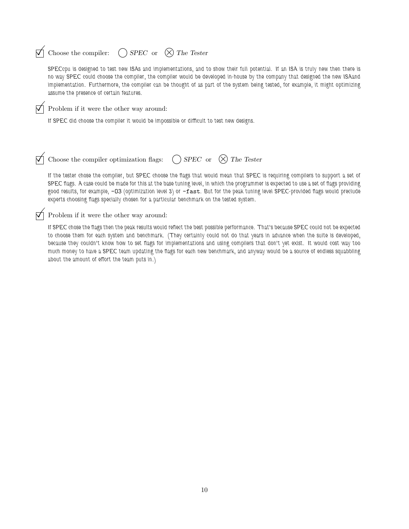## $\Box$  Choose the compiler:  $\bigcirc$  SPEC or  $\Diamond$  The Tester

SPECcpu is designed to test new ISAs and implementations, and to show their full potential. If an ISA is truly new then there is no way SPEC could choose the compiler, the compiler would be developed in-house by the company that designed the new ISAand implementation. Furthermore, the compiler can be thought of as part of the system being tested, for example, it might optimizing assume the presence of certain features.

 $\nabla$  Problem if it were the other way around:

If SPEC did choose the compiler it would be impossible or difficult to test new designs.

 $\nabla$  Choose the compiler optimization flags: () SPEC or  $(\times)$  The Tester

If the tester chose the compiler, but SPEC choose the flags that would mean that SPEC is requiring compilers to support a set of SPEC flags. A case could be made for this at the base tuning level, in which the programmer is expected to use a set of flags providing good results, for example, -O3 (optimization level 3) or -fast. But for the peak tuning level SPEC-provided flags would preclude experts choosing flags specially chosen for a particular benchmark on the tested system.

 $\nabla$  Problem if it were the other way around:

If SPEC chose the flags then the peak results would reflect the best possible performance. That's because SPEC could not be expected to choose them for each system and benchmark. (They certainly could not do that years in advance when the suite is developed, because they couldn't know how to set flags for implementations and using compilers that don't yet exist. It would cost way too much money to have a SPEC team updating the flags for each new benchmark, and anyway would be a source of endless squabbling about the amount of effort the team puts in.)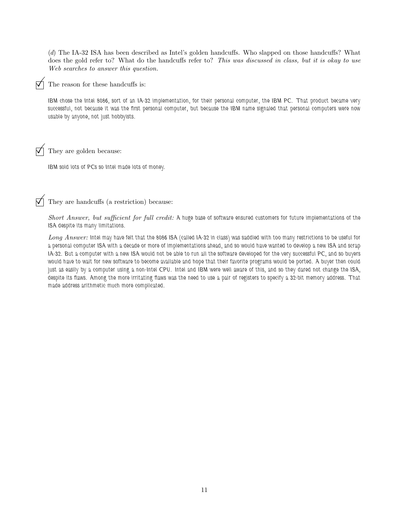(d) The IA-32 ISA has been described as Intel's golden handcuffs. Who slapped on those handcuffs? What does the gold refer to? What do the handcuffs refer to? This was discussed in class, but it is okay to use Web searches to answer this question.

The reason for these handcuffs is:

IBM chose the Intel 8086, sort of an IA-32 implementation, for their personal computer, the IBM PC. That product became very successful, not because it was the first personal computer, but because the IBM name signaled that personal computers were now usable by anyone, not just hobbyists.

 $\triangledown$  They are golden because:

IBM sold lots of PCs so Intel made lots of money.

They are handcuffs (a restriction) because:

Short Answer, but sufficient for full credit: A huge base of software ensured customers for future implementations of the ISA despite its many limitations.

Long Answer: Intel may have felt that the 8086 ISA (called IA-32 in class) was saddled with too many restrictions to be useful for a personal computer ISA with a decade or more of implementations ahead, and so would have wanted to develop a new ISA and scrap IA-32. But a computer with a new ISA would not be able to run all the software developed for the very successful PC, and so buyers would have to wait for new software to become available and hope that their favorite programs would be ported. A buyer then could just as easily by a computer using a non-Intel CPU. Intel and IBM were well aware of this, and so they dared not change the ISA, despite its flaws. Among the more irritating flaws was the need to use a pair of registers to specify a 32-bit memory address. That made address arithmetic much more complicated.